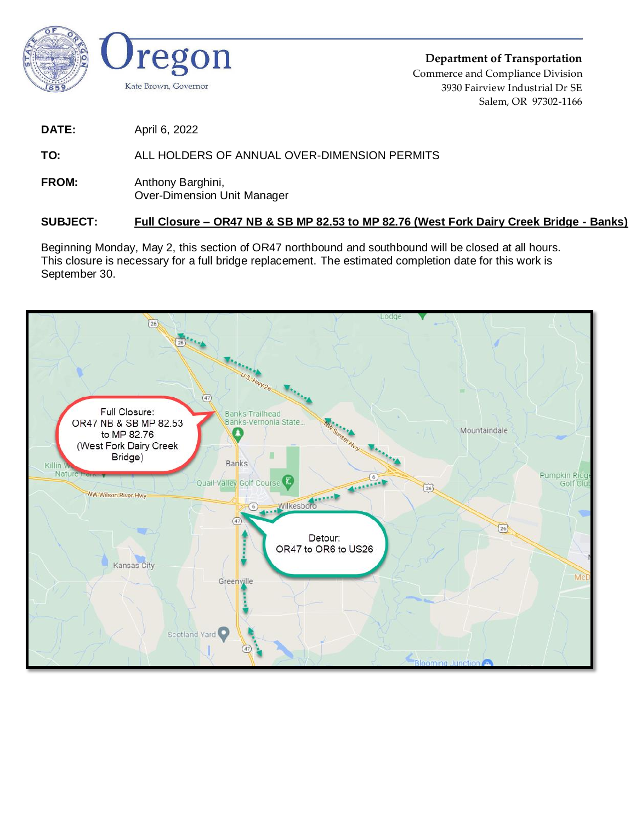

**Department of Transportation** Commerce and Compliance Division 3930 Fairview Industrial Dr SE Salem, OR 97302-1166

**DATE:** April 6, 2022

## **TO:** ALL HOLDERS OF ANNUAL OVER-DIMENSION PERMITS

**FROM:** Anthony Barghini, Over-Dimension Unit Manager

## **SUBJECT: Full Closure – OR47 NB & SB MP 82.53 to MP 82.76 (West Fork Dairy Creek Bridge - Banks)**

Beginning Monday, May 2, this section of OR47 northbound and southbound will be closed at all hours. This closure is necessary for a full bridge replacement. The estimated completion date for this work is September 30.